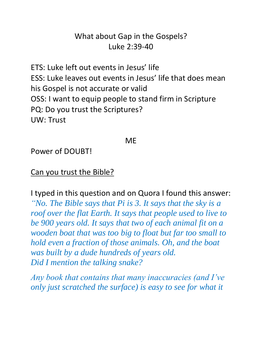## What about Gap in the Gospels? Luke 2:39-40

ETS: Luke left out events in Jesus' life ESS: Luke leaves out events in Jesus' life that does mean his Gospel is not accurate or valid OSS: I want to equip people to stand firm in Scripture PQ: Do you trust the Scriptures? UW: Trust

#### ME

Power of DOUBT!

Can you trust the Bible?

I typed in this question and on Quora I found this answer: *"No. The Bible says that Pi is 3. It says that the sky is a roof over the flat Earth. It says that people used to live to be 900 years old. It says that two of each animal fit on a wooden boat that was too big to float but far too small to hold even a fraction of those animals. Oh, and the boat was built by a dude hundreds of years old. Did I mention the talking snake?*

*Any book that contains that many inaccuracies (and I've only just scratched the surface) is easy to see for what it*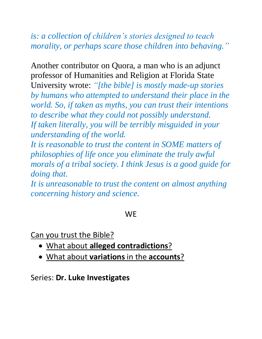## *is: a collection of children's stories designed to teach morality, or perhaps scare those children into behaving."*

Another contributor on Quora, a man who is an adjunct professor of Humanities and Religion at Florida State University wrote: *"[the bible] is mostly made-up stories by humans who attempted to understand their place in the world. So, if taken as myths, you can trust their intentions to describe what they could not possibly understand. If taken literally, you will be terribly misguided in your understanding of the world.*

*It is reasonable to trust the content in SOME matters of philosophies of life once you eliminate the truly awful morals of a tribal society. I think Jesus is a good guide for doing that.*

*It is unreasonable to trust the content on almost anything concerning history and science.*

#### **WF**

Can you trust the Bible?

- What about **alleged contradictions**?
- What about **variations** in the **accounts**?

Series: **Dr. Luke Investigates**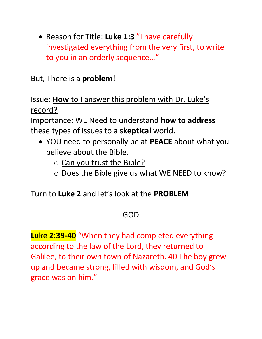• Reason for Title: **Luke 1:3** "I have carefully investigated everything from the very first, to write to you in an orderly sequence…"

But, There is a **problem**!

Issue: **How** to I answer this problem with Dr. Luke's record?

Importance: WE Need to understand **how to address** these types of issues to a **skeptical** world.

- YOU need to personally be at **PEACE** about what you believe about the Bible.
	- $\circ$  Can you trust the Bible?
	- o Does the Bible give us what WE NEED to know?

Turn to **Luke 2** and let's look at the **PROBLEM**

## GOD

**Luke 2:39-40** "When they had completed everything according to the law of the Lord, they returned to Galilee, to their own town of Nazareth. 40 The boy grew up and became strong, filled with wisdom, and God's grace was on him."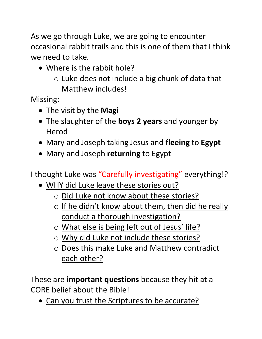As we go through Luke, we are going to encounter occasional rabbit trails and this is one of them that I think we need to take.

• Where is the rabbit hole?

 $\circ$  Luke does not include a big chunk of data that Matthew includes!

Missing:

- The visit by the **Magi**
- The slaughter of the **boys 2 years** and younger by Herod
- Mary and Joseph taking Jesus and **fleeing** to **Egypt**
- Mary and Joseph **returning** to Egypt

I thought Luke was "Carefully investigating" everything!?

- WHY did Luke leave these stories out?
	- o Did Luke not know about these stories?
	- $\circ$  If he didn't know about them, then did he really conduct a thorough investigation?
	- o What else is being left out of Jesus' life?
	- o Why did Luke not include these stories?
	- o Does this make Luke and Matthew contradict each other?

These are **important questions** because they hit at a CORE belief about the Bible!

• Can you trust the Scriptures to be accurate?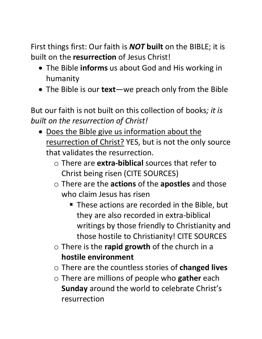First things first: Our faith is *NOT* **built** on the BIBLE; it is built on the **resurrection** of Jesus Christ!

- The Bible **informs** us about God and His working in humanity
- The Bible is our **text**—we preach only from the Bible

But our faith is not built on this collection of books*; it is built on the resurrection of Christ!*

- Does the Bible give us information about the resurrection of Christ? YES, but is not the only source that validates the resurrection.
	- o There are **extra-biblical** sources that refer to Christ being risen (CITE SOURCES)
	- o There are the **actions** of the **apostles** and those who claim Jesus has risen
		- These actions are recorded in the Bible, but they are also recorded in extra-biblical writings by those friendly to Christianity and those hostile to Christianity! CITE SOURCES
	- o There is the **rapid growth** of the church in a **hostile environment**
	- o There are the countless stories of **changed lives**
	- o There are millions of people who **gather** each **Sunday** around the world to celebrate Christ's resurrection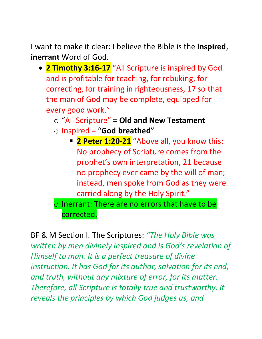I want to make it clear: I believe the Bible is the **inspired**, **inerrant** Word of God.

- **2 Timothy 3:16-17** "All Scripture is inspired by God and is profitable for teaching, for rebuking, for correcting, for training in righteousness, 17 so that the man of God may be complete, equipped for every good work."
	- o "All Scripture" = **Old and New Testament** o Inspired = "**God breathed**"
		- **2 Peter 1:20-21** "Above all, you know this: No prophecy of Scripture comes from the prophet's own interpretation, 21 because no prophecy ever came by the will of man; instead, men spoke from God as they were carried along by the Holy Spirit."
	- $\circ$  Inerrant: There are no errors that have to be corrected.

BF & M Section I. The Scriptures: *"The Holy Bible was written by men divinely inspired and is God's revelation of Himself to man. It is a perfect treasure of divine instruction. It has God for its author, salvation for its end, and truth, without any mixture of error, for its matter. Therefore, all Scripture is totally true and trustworthy. It reveals the principles by which God judges us, and*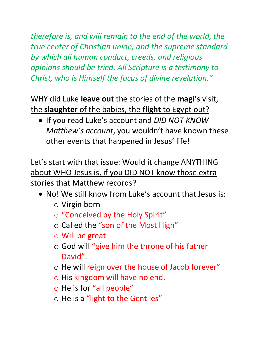*therefore is, and will remain to the end of the world, the true center of Christian union, and the supreme standard by which all human conduct, creeds, and religious opinions should be tried. All Scripture is a testimony to Christ, who is Himself the focus of divine revelation."*

WHY did Luke **leave out** the stories of the **magi's** visit, the **slaughter** of the babies, the **flight** to Egypt out?

• If you read Luke's account and *DID NOT KNOW Matthew's account*, you wouldn't have known these other events that happened in Jesus' life!

Let's start with that issue: Would it change ANYTHING about WHO Jesus is, if you DID NOT know those extra stories that Matthew records?

- No! We still know from Luke's account that Jesus is:
	- o Virgin born
	- o "Conceived by the Holy Spirit"
	- o Called the "son of the Most High"
	- o Will be great
	- o God will "give him the throne of his father David".
	- o He will reign over the house of Jacob forever"
	- o His kingdom will have no end.
	- o He is for "all people"
	- o He is a "light to the Gentiles"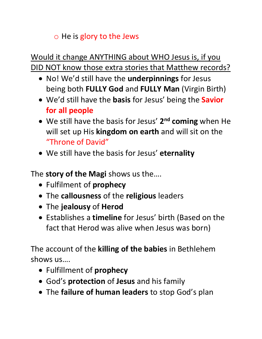## $\circ$  He is glory to the Jews

# Would it change ANYTHING about WHO Jesus is, if you DID NOT know those extra stories that Matthew records?

- No! We'd still have the **underpinnings** for Jesus being both **FULLY God** and **FULLY Man** (Virgin Birth)
- We'd still have the **basis** for Jesus' being the **Savior for all people**
- We still have the basis for Jesus' **2 nd coming** when He will set up His **kingdom on earth** and will sit on the "Throne of David"
- We still have the basis for Jesus' **eternality**

The **story of the Magi** shows us the….

- Fulfilment of **prophecy**
- The **callousness** of the **religious** leaders
- The **jealousy** of **Herod**
- Establishes a **timeline** for Jesus' birth (Based on the fact that Herod was alive when Jesus was born)

The account of the **killing of the babies** in Bethlehem shows us….

- Fulfillment of **prophecy**
- God's **protection** of **Jesus** and his family
- The **failure of human leaders** to stop God's plan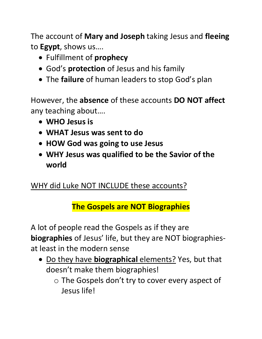The account of **Mary and Joseph** taking Jesus and **fleeing** to **Egypt**, shows us….

- Fulfillment of **prophecy**
- God's **protection** of Jesus and his family
- The **failure** of human leaders to stop God's plan

However, the **absence** of these accounts **DO NOT affect** any teaching about….

- **WHO Jesus is**
- **WHAT Jesus was sent to do**
- **HOW God was going to use Jesus**
- **WHY Jesus was qualified to be the Savior of the world**

## WHY did Luke NOT INCLUDE these accounts?

# **The Gospels are NOT Biographies**

A lot of people read the Gospels as if they are **biographies** of Jesus' life, but they are NOT biographiesat least in the modern sense

- Do they have **biographical** elements? Yes, but that doesn't make them biographies!
	- $\circ$  The Gospels don't try to cover every aspect of Jesus life!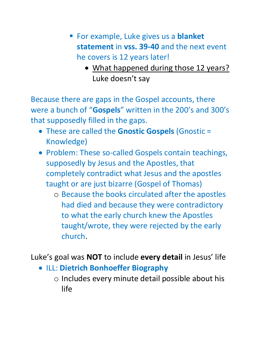- For example, Luke gives us a **blanket statement** in **vss. 39-40** and the next event he covers is 12 years later!
	- What happened during those 12 years? Luke doesn't say

Because there are gaps in the Gospel accounts, there were a bunch of "**Gospels**" written in the 200's and 300's that supposedly filled in the gaps.

- These are called the **Gnostic Gospels** (Gnostic = Knowledge)
- Problem: These so-called Gospels contain teachings, supposedly by Jesus and the Apostles, that completely contradict what Jesus and the apostles taught or are just bizarre (Gospel of Thomas)
	- o Because the books circulated after the apostles had died and because they were contradictory to what the early church knew the Apostles taught/wrote, they were rejected by the early church.

Luke's goal was **NOT** to include **every detail** in Jesus' life

- ILL: **Dietrich Bonhoeffer Biography**
	- o Includes every minute detail possible about his life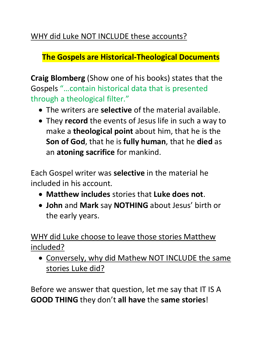## WHY did Luke NOT INCLUDE these accounts?

## **The Gospels are Historical-Theological Documents**

**Craig Blomberg** (Show one of his books) states that the Gospels "…contain historical data that is presented through a theological filter."

- The writers are **selective** of the material available.
- They **record** the events of Jesus life in such a way to make a **theological point** about him, that he is the **Son of God**, that he is **fully human**, that he **died** as an **atoning sacrifice** for mankind.

Each Gospel writer was **selective** in the material he included in his account.

- **Matthew includes** stories that **Luke does not**.
- **John** and **Mark** say **NOTHING** about Jesus' birth or the early years.

WHY did Luke choose to leave those stories Matthew included?

• Conversely, why did Mathew NOT INCLUDE the same stories Luke did?

Before we answer that question, let me say that IT IS A **GOOD THING** they don't **all have** the **same stories**!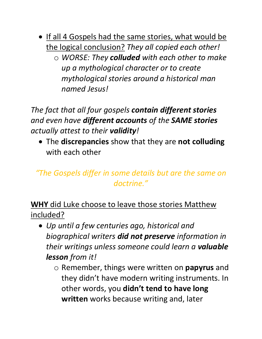- If all 4 Gospels had the same stories, what would be the logical conclusion? *They all copied each other!*
	- o *WORSE: They colluded with each other to make up a mythological character or to create mythological stories around a historical man named Jesus!*

*The fact that all four gospels contain different stories and even have different accounts of the SAME stories actually attest to their validity!*

• The **discrepancies** show that they are **not colluding** with each other

# *"The Gospels differ in some details but are the same on doctrine."*

**WHY** did Luke choose to leave those stories Matthew included?

- *Up until a few centuries ago, historical and biographical writers did not preserve information in their writings unless someone could learn a valuable lesson from it!*
	- o Remember, things were written on **papyrus** and they didn't have modern writing instruments. In other words, you **didn't tend to have long written** works because writing and, later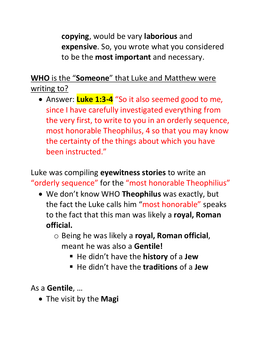**copying**, would be vary **laborious** and **expensive**. So, you wrote what you considered to be the **most important** and necessary.

**WHO** is the "**Someone**" that Luke and Matthew were writing to?

• Answer: **Luke 1:3-4** "So it also seemed good to me, since I have carefully investigated everything from the very first, to write to you in an orderly sequence, most honorable Theophilus, 4 so that you may know the certainty of the things about which you have been instructed."

Luke was compiling **eyewitness stories** to write an "orderly sequence" for the "most honorable Theophilius"

- We don't know WHO **Theophilus** was exactly, but the fact the Luke calls him "most honorable" speaks to the fact that this man was likely a **royal, Roman official.**
	- o Being he was likely a **royal, Roman official**, meant he was also a **Gentile!**
		- He didn't have the **history** of a **Jew**
		- He didn't have the **traditions** of a **Jew**

As a **Gentile**, …

• The visit by the **Magi**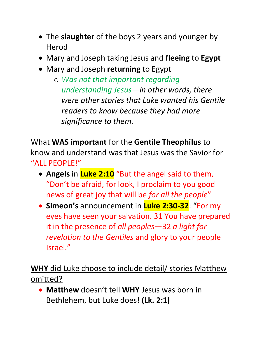- The **slaughter** of the boys 2 years and younger by Herod
- Mary and Joseph taking Jesus and **fleeing** to **Egypt**
- Mary and Joseph **returning** to Egypt

o *Was not that important regarding understanding Jesus—in other words, there were other stories that Luke wanted his Gentile readers to know because they had more significance to them.* 

What **WAS important** for the **Gentile Theophilus** to know and understand was that Jesus was the Savior for "ALL PEOPLE!"

- **Angels** in **Luke 2:10** "But the angel said to them, "Don't be afraid, for look, I proclaim to you good news of great joy that will be *for all the people*"
- **Simeon's** announcement in **Luke 2:30-32**: "For my eyes have seen your salvation. 31 You have prepared it in the presence of *all peoples*—32 *a light for revelation to the Gentiles* and glory to your people Israel."

**WHY** did Luke choose to include detail/ stories Matthew omitted?

• **Matthew** doesn't tell **WHY** Jesus was born in Bethlehem, but Luke does! **(Lk. 2:1)**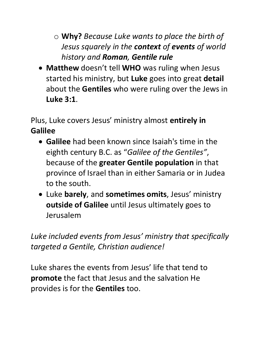o **Why?** *Because Luke wants to place the birth of Jesus squarely in the context of events of world history and Roman, Gentile rule*

• **Matthew** doesn't tell **WHO** was ruling when Jesus started his ministry, but **Luke** goes into great **detail** about the **Gentiles** who were ruling over the Jews in **Luke 3:1**.

Plus, Luke covers Jesus' ministry almost **entirely in Galilee**

- **Galilee** had been known since Isaiah's time in the eighth century B.C. as "*Galilee of the Gentiles"* , because of the **greater Gentile population** in that province of Israel than in either Samaria or in Judea to the south.
- Luke **barely**, and **sometimes omits**, Jesus' ministry **outside of Galilee** until Jesus ultimately goes to Jerusalem

*Luke included events from Jesus' ministry that specifically targeted a Gentile, Christian audience!*

Luke shares the events from Jesus' life that tend to **promote** the fact that Jesus and the salvation He provides is for the **Gentiles** too.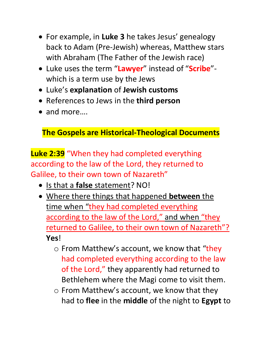- For example, in **Luke 3** he takes Jesus' genealogy back to Adam (Pre-Jewish) whereas, Matthew stars with Abraham (The Father of the Jewish race)
- Luke uses the term "**Lawyer**" instead of "**Scribe**" which is a term use by the Jews
- Luke's **explanation** of **Jewish customs**
- References to Jews in the **third person**
- and more….

# **The Gospels are Historical-Theological Documents**

**Luke 2:39** "When they had completed everything according to the law of the Lord, they returned to Galilee, to their own town of Nazareth"

- Is that a **false** statement? NO!
- Where there things that happened **between** the time when "they had completed everything according to the law of the Lord," and when "they returned to Galilee, to their own town of Nazareth"? **Yes**!
	- $\circ$  From Matthew's account, we know that "they" had completed everything according to the law of the Lord," they apparently had returned to Bethlehem where the Magi come to visit them.
	- o From Matthew's account, we know that they had to **flee** in the **middle** of the night to **Egypt** to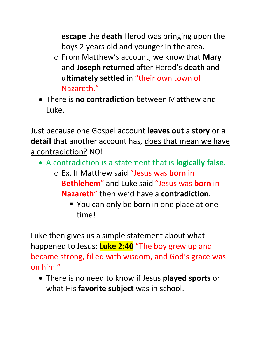**escape** the **death** Herod was bringing upon the boys 2 years old and younger in the area.

- o From Matthew's account, we know that **Mary** and **Joseph returned** after Herod's **death** and **ultimately settled** in "their own town of Nazareth."
- There is **no contradiction** between Matthew and Luke.

Just because one Gospel account **leaves out** a **story** or a **detail** that another account has, does that mean we have a contradiction? NO!

- A contradiction is a statement that is **logically false.**
	- o Ex. If Matthew said "Jesus was **born** in **Bethlehem**" and Luke said "Jesus was **born** in **Nazareth**" then we'd have a **contradiction**.
		- You can only be born in one place at one time!

Luke then gives us a simple statement about what happened to Jesus: **Luke 2:40** "The boy grew up and became strong, filled with wisdom, and God's grace was on him."

• There is no need to know if Jesus **played sports** or what His **favorite subject** was in school.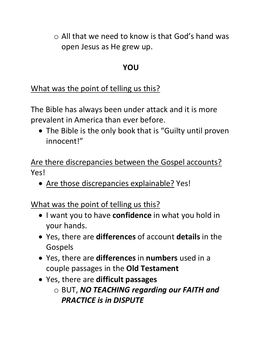$\circ$  All that we need to know is that God's hand was open Jesus as He grew up.

#### **YOU**

What was the point of telling us this?

The Bible has always been under attack and it is more prevalent in America than ever before.

• The Bible is the only book that is "Guilty until proven innocent!"

Are there discrepancies between the Gospel accounts? Yes!

• Are those discrepancies explainable? Yes!

What was the point of telling us this?

- I want you to have **confidence** in what you hold in your hands.
- Yes, there are **differences** of account **details** in the Gospels
- Yes, there are **differences** in **numbers** used in a couple passages in the **Old Testament**
- Yes, there are **difficult passages** o BUT, *NO TEACHING regarding our FAITH and PRACTICE is in DISPUTE*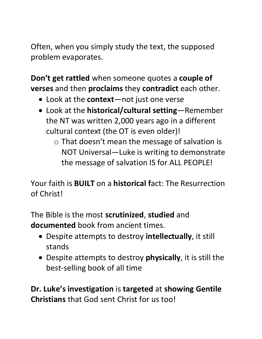Often, when you simply study the text, the supposed problem evaporates.

**Don't get rattled** when someone quotes a **couple of verses** and then **proclaims** they **contradict** each other.

- Look at the **context**—not just one verse
- Look at the **historical/cultural setting**—Remember the NT was written 2,000 years ago in a different cultural context (the OT is even older)!
	- $\circ$  That doesn't mean the message of salvation is NOT Universal—Luke is writing to demonstrate the message of salvation IS for ALL PEOPLE!

Your faith is **BUILT** on a **historical f**act: The Resurrection of Christ!

The Bible is the most **scrutinized**, **studied** and **documented** book from ancient times.

- Despite attempts to destroy **intellectually**, it still stands
- Despite attempts to destroy **physically**, it is still the best-selling book of all time

**Dr. Luke's investigation** is **targeted** at **showing Gentile Christians** that God sent Christ for us too!